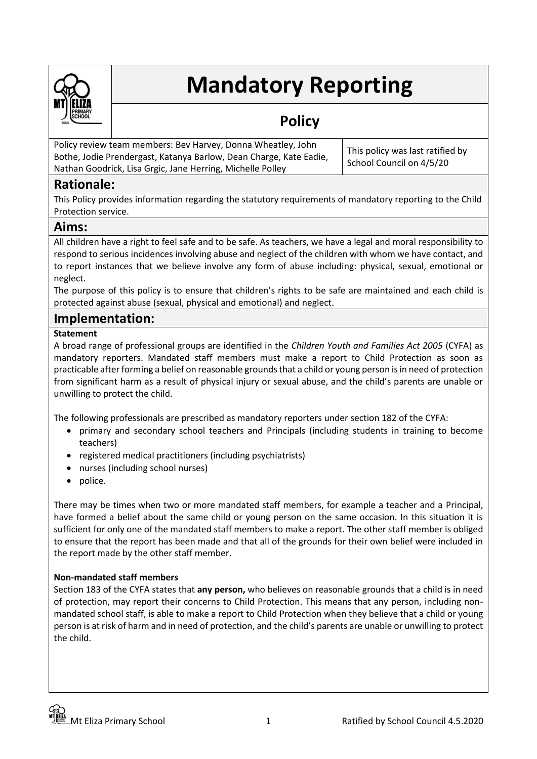

# **Mandatory Reporting**

## **Policy**

Policy review team members: Bev Harvey, Donna Wheatley, John Bothe, Jodie Prendergast, Katanya Barlow, Dean Charge, Kate Eadie, Nathan Goodrick, Lisa Grgic, Jane Herring, Michelle Polley

This policy was last ratified by School Council on 4/5/20

## **Rationale:**

This Policy provides information regarding the statutory requirements of mandatory reporting to the Child Protection service.

## **Aims:**

All children have a right to feel safe and to be safe. As teachers, we have a legal and moral responsibility to respond to serious incidences involving abuse and neglect of the children with whom we have contact, and to report instances that we believe involve any form of abuse including: physical, sexual, emotional or neglect.

The purpose of this policy is to ensure that children's rights to be safe are maintained and each child is protected against abuse (sexual, physical and emotional) and neglect.

### **Implementation:**

#### **Statement**

A broad range of professional groups are identified in the *Children Youth and Families Act 2005* (CYFA) as mandatory reporters. Mandated staff members must make a report to Child Protection as soon as practicable after forming a belief on reasonable grounds that a child or young person is in need of protection from significant harm as a result of physical injury or sexual abuse, and the child's parents are unable or unwilling to protect the child.

The following professionals are prescribed as mandatory reporters under section 182 of the CYFA:

- primary and secondary school teachers and Principals (including students in training to become teachers)
- registered medical practitioners (including psychiatrists)
- nurses (including school nurses)
- police.

There may be times when two or more mandated staff members, for example a teacher and a Principal, have formed a belief about the same child or young person on the same occasion. In this situation it is sufficient for only one of the mandated staff members to make a report. The other staff member is obliged to ensure that the report has been made and that all of the grounds for their own belief were included in the report made by the other staff member.

#### **Non-mandated staff members**

Section 183 of the CYFA states that **any person,** who believes on reasonable grounds that a child is in need of protection, may report their concerns to Child Protection. This means that any person, including nonmandated school staff, is able to make a report to Child Protection when they believe that a child or young person is at risk of harm and in need of protection, and the child's parents are unable or unwilling to protect the child.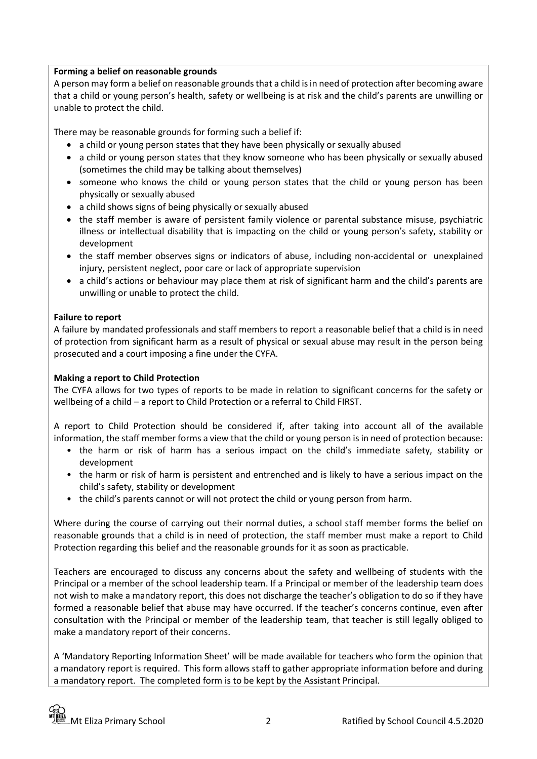#### **Forming a belief on reasonable grounds**

A person may form a belief on reasonable grounds that a child is in need of protection after becoming aware that a child or young person's health, safety or wellbeing is at risk and the child's parents are unwilling or unable to protect the child.

There may be reasonable grounds for forming such a belief if:

- a child or young person states that they have been physically or sexually abused
- a child or young person states that they know someone who has been physically or sexually abused (sometimes the child may be talking about themselves)
- someone who knows the child or young person states that the child or young person has been physically or sexually abused
- a child shows signs of being physically or sexually abused
- the staff member is aware of persistent family violence or parental substance misuse, psychiatric illness or intellectual disability that is impacting on the child or young person's safety, stability or development
- the staff member observes signs or indicators of abuse, including non-accidental or unexplained injury, persistent neglect, poor care or lack of appropriate supervision
- a child's actions or behaviour may place them at risk of significant harm and the child's parents are unwilling or unable to protect the child.

#### **Failure to report**

A failure by mandated professionals and staff members to report a reasonable belief that a child is in need of protection from significant harm as a result of physical or sexual abuse may result in the person being prosecuted and a court imposing a fine under the CYFA.

#### **Making a report to Child Protection**

The CYFA allows for two types of reports to be made in relation to significant concerns for the safety or wellbeing of a child – a report to Child Protection or a referral to Child FIRST.

A report to Child Protection should be considered if, after taking into account all of the available information, the staff member forms a view that the child or young person is in need of protection because:

- the harm or risk of harm has a serious impact on the child's immediate safety, stability or development
- the harm or risk of harm is persistent and entrenched and is likely to have a serious impact on the child's safety, stability or development
- the child's parents cannot or will not protect the child or young person from harm.

Where during the course of carrying out their normal duties, a school staff member forms the belief on reasonable grounds that a child is in need of protection, the staff member must make a report to Child Protection regarding this belief and the reasonable grounds for it as soon as practicable.

Teachers are encouraged to discuss any concerns about the safety and wellbeing of students with the Principal or a member of the school leadership team. If a Principal or member of the leadership team does not wish to make a mandatory report, this does not discharge the teacher's obligation to do so if they have formed a reasonable belief that abuse may have occurred. If the teacher's concerns continue, even after consultation with the Principal or member of the leadership team, that teacher is still legally obliged to make a mandatory report of their concerns.

A 'Mandatory Reporting Information Sheet' will be made available for teachers who form the opinion that a mandatory report is required. This form allows staff to gather appropriate information before and during a mandatory report. The completed form is to be kept by the Assistant Principal.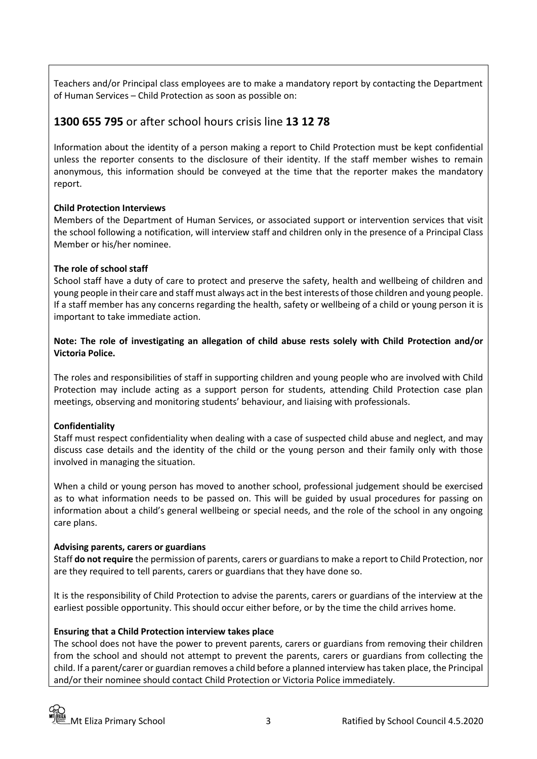Teachers and/or Principal class employees are to make a mandatory report by contacting the Department of Human Services – Child Protection as soon as possible on:

## **1300 655 795** or after school hours crisis line **13 12 78**

Information about the identity of a person making a report to Child Protection must be kept confidential unless the reporter consents to the disclosure of their identity. If the staff member wishes to remain anonymous, this information should be conveyed at the time that the reporter makes the mandatory report.

#### **Child Protection Interviews**

Members of the Department of Human Services, or associated support or intervention services that visit the school following a notification, will interview staff and children only in the presence of a Principal Class Member or his/her nominee.

#### **The role of school staff**

School staff have a duty of care to protect and preserve the safety, health and wellbeing of children and young people in their care and staff must always act in the best interests of those children and young people. If a staff member has any concerns regarding the health, safety or wellbeing of a child or young person it is important to take immediate action.

#### **Note: The role of investigating an allegation of child abuse rests solely with Child Protection and/or Victoria Police.**

The roles and responsibilities of staff in supporting children and young people who are involved with Child Protection may include acting as a support person for students, attending Child Protection case plan meetings, observing and monitoring students' behaviour, and liaising with professionals.

#### **Confidentiality**

Staff must respect confidentiality when dealing with a case of suspected child abuse and neglect, and may discuss case details and the identity of the child or the young person and their family only with those involved in managing the situation.

When a child or young person has moved to another school, professional judgement should be exercised as to what information needs to be passed on. This will be guided by usual procedures for passing on information about a child's general wellbeing or special needs, and the role of the school in any ongoing care plans.

#### **Advising parents, carers or guardians**

Staff **do not require** the permission of parents, carers or guardians to make a report to Child Protection, nor are they required to tell parents, carers or guardians that they have done so.

It is the responsibility of Child Protection to advise the parents, carers or guardians of the interview at the earliest possible opportunity. This should occur either before, or by the time the child arrives home.

#### **Ensuring that a Child Protection interview takes place**

The school does not have the power to prevent parents, carers or guardians from removing their children from the school and should not attempt to prevent the parents, carers or guardians from collecting the child. If a parent/carer or guardian removes a child before a planned interview has taken place, the Principal and/or their nominee should contact Child Protection or Victoria Police immediately.